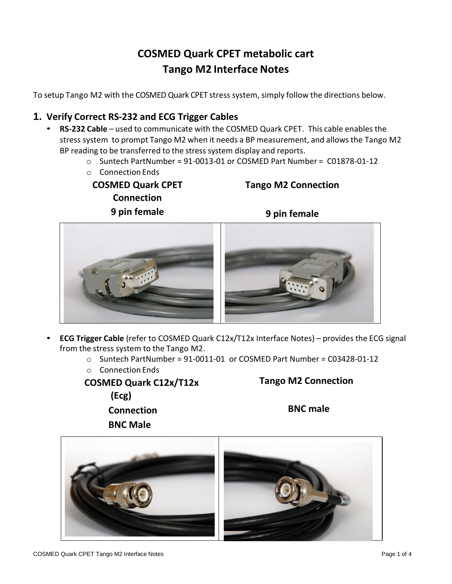# **COSMED Quark CPET metabolic cart Tango M2 Interface Notes**

To setup Tango M2 with the COSMED Quark CPET stress system, simply follow the directions below.

# **1. Verify Correct RS-232 and ECG Trigger Cables**

- **RS-232 Cable** used to communicate with the COSMED Quark CPET. This cable enables the stress system to prompt Tango M2 when it needs a BP measurement, and allowsthe Tango M2 BP reading to be transferred to the stress system display and reports.
	- $\circ$  Suntech PartNumber = 91-0013-01 or COSMED Part Number = C01878-01-12
	- o Connection Ends

**COSMED Quark CPET Connection 9 pin female**

**Tango M2 Connection**



- **ECG Trigger Cable** (refer to COSMED Quark C12x/T12x Interface Notes) provides the ECG signal from the stress system to the Tango M2.
	- $\circ$  Suntech PartNumber = 91-0011-01 or COSMED Part Number = C03428-01-12
	- o Connection Ends

**BNC Male**

**COSMED Quark C12x/T12x (Ecg) Connection**

**Tango M2 Connection** 

**BNC male**

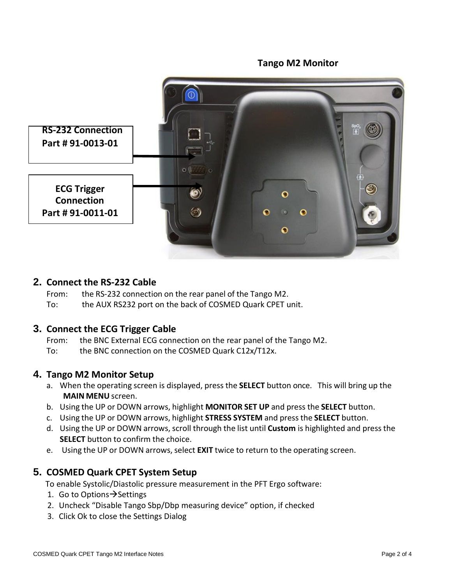

### **2. Connect the RS-232 Cable**

From: the RS-232 connection on the rear panel of the Tango M2.

To: the AUX RS232 port on the back of COSMED Quark CPET unit.

### **3. Connect the ECG Trigger Cable**

From: the BNC External ECG connection on the rear panel of the Tango M2.

To: the BNC connection on the COSMED Quark C12x/T12x.

### **4. Tango M2 Monitor Setup**

- a. When the operating screen is displayed, press the **SELECT** button once. This will bring up the **MAIN MENU** screen.
- b. Using the UP or DOWN arrows, highlight **MONITOR SET UP** and press the **SELECT** button.
- c. Using the UP or DOWN arrows, highlight **STRESS SYSTEM** and pressthe **SELECT** button.
- d. Using the UP or DOWN arrows, scroll through the list until **Custom** is highlighted and press the **SELECT** button to confirm the choice.
- e. Using the UP or DOWN arrows, select **EXIT** twice to return to the operating screen.

# **5. COSMED Quark CPET System Setup**

To enable Systolic/Diastolic pressure measurement in the PFT Ergo software:

- 1. Go to Options → Settings
- 2. Uncheck "Disable Tango Sbp/Dbp measuring device" option, if checked
- 3. Click Ok to close the Settings Dialog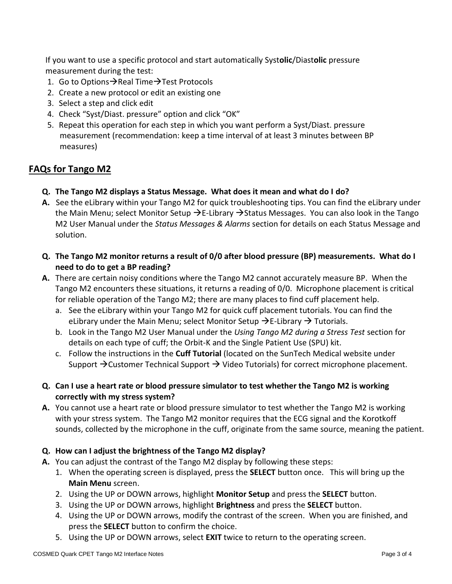If you want to use a specific protocol and start automatically Syst**olic**/Diast**olic** pressure measurement during the test:

- 1. Go to Options→Real Time→Test Protocols
- 2. Create a new protocol or edit an existing one
- 3. Select a step and click edit
- 4. Check "Syst/Diast. pressure" option and click "OK"
- 5. Repeat this operation for each step in which you want perform a Syst/Diast. pressure measurement (recommendation: keep a time interval of at least 3 minutes between BP measures)

# **FAQs for Tango M2**

- **Q. The Tango M2 displays a Status Message. What does it mean and what do I do?**
- **A.** See the eLibrary within your Tango M2 for quick troubleshooting tips. You can find the eLibrary under the Main Menu; select Monitor Setup  $\rightarrow$  E-Library  $\rightarrow$  Status Messages. You can also look in the Tango M2 User Manual under the *Status Messages & Alarms* section for details on each Status Message and solution.
- **Q. The Tango M2 monitor returns a result of 0/0 after blood pressure (BP) measurements. What do I need to do to get a BP reading?**
- **A.** There are certain noisy conditions where the Tango M2 cannot accurately measure BP. When the Tango M2 encounters these situations, it returns a reading of 0/0. Microphone placement is critical for reliable operation of the Tango M2; there are many places to find cuff placement help.
	- a. See the eLibrary within your Tango M2 for quick cuff placement tutorials. You can find the eLibrary under the Main Menu; select Monitor Setup  $\rightarrow$  E-Library  $\rightarrow$  Tutorials.
	- b. Look in the Tango M2 User Manual under the *Using Tango M2 during a Stress Test* section for details on each type of cuff; the Orbit-K and the Single Patient Use (SPU) kit.
	- c. Follow the instructions in the **Cuff Tutorial** (located on the SunTech Medical website under Support  $\rightarrow$  Customer Technical Support  $\rightarrow$  Video Tutorials) for correct microphone placement.
- **Q. Can I use a heart rate or blood pressure simulator to test whether the Tango M2 is working correctly with my stress system?**
- **A.** You cannot use a heart rate or blood pressure simulator to test whether the Tango M2 is working with your stress system. The Tango M2 monitor requires that the ECG signal and the Korotkoff sounds, collected by the microphone in the cuff, originate from the same source, meaning the patient.

### **Q. How can I adjust the brightness of the Tango M2 display?**

- **A.** You can adjust the contrast of the Tango M2 display by following these steps:
	- 1. When the operating screen is displayed, press the **SELECT** button once. This will bring up the **Main Menu** screen.
	- 2. Using the UP or DOWN arrows, highlight **Monitor Setup** and press the **SELECT** button.
	- 3. Using the UP or DOWN arrows, highlight **Brightness** and press the **SELECT** button.
	- 4. Using the UP or DOWN arrows, modify the contrast of the screen. When you are finished, and press the **SELECT** button to confirm the choice.
	- 5. Using the UP or DOWN arrows, select **EXIT** twice to return to the operating screen.